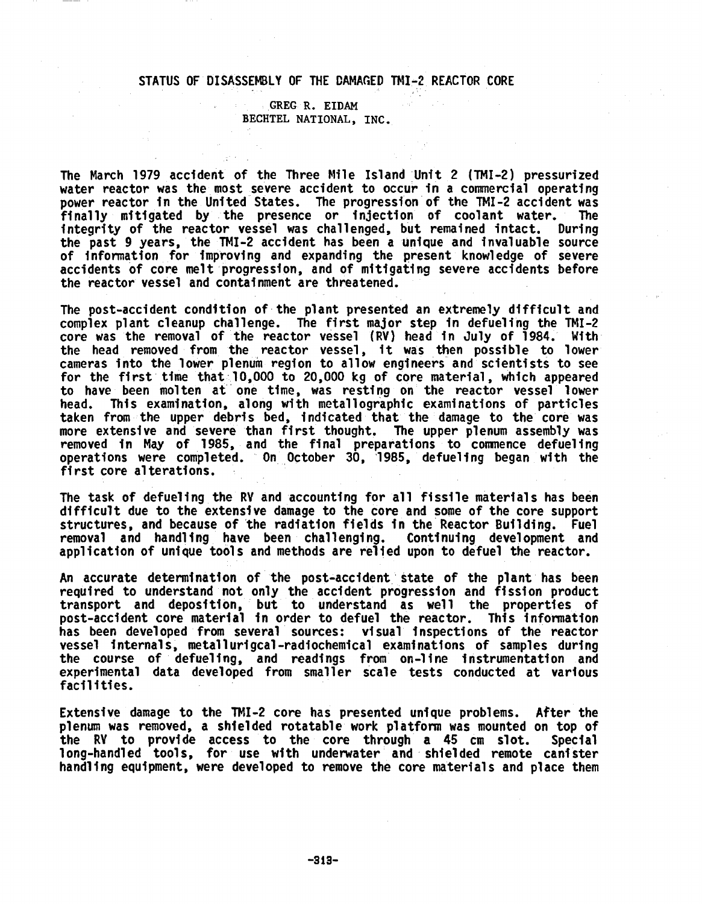## STATUS OF DISASSEMBLY OF THE DAMAGED TMI-2 REACTOR CORE

## GREG R. EIDAM BECHTEL NATIONAL, INC.

The March 1979 accident of the Three Mile Island Unit 2 (TMI-2) pressurized water reactor was the most severe accident to occur in a commercial operating power reactor in the United States. The progression of the TMI-2 accident was<br>finally mitigated by the presence or injection of coolant water. The finally mitigated by the presence or injection of coolant water. integrity of the reactor vessel was challenged, but remained intact. During the past 9 years, the TMI-2 accident has been a unique and invaluable source of information for improving and expanding the present knowledge of severe accidents of core melt progression, and of mitigating severe accidents before the reactor vessel and containment are threatened.

The post-accident condition of the plant presented an extremely difficult and complex plant cleanup challenge. The first major step in defueling the TMI-2 core was the removal of the reactor vessel (RV) head in July of 1984. With the head removed from the reactor vessel, it was then possible to lower cameras into the lower plenum region to allow engineers and scientists to see for the first time that 10,000 to 20,000 kg of core material, which appeared to have been molten at one time, was resting on the reactor vessel lower head. This examination, along with metallographic examinations of particles taken from the upper debris bed, indicated that the damage to the core was more extensive and severe than first thought. The upper plenum assembly was removed in May of 1985, and the final preparations to commence defueling operations were completed. On October 30, 1985, defueling began with the first core alterations.

The task of defueling the RV and accounting for all fissile materials has been difficult due to the extensive damage to the core and some of the core support structures, and because of the radiation fields in the Reactor Building. Fuel removal and handling have been challenging. Continuing development and application of unique tools and methods are relied upon to defuel the reactor.

An accurate determination of the post-accident state of the plant has been required to understand not only the accident progression and fission production and the understand not only the accident progression and fission production. transport and deposition, but to understand as well the properties of post-accident core material in order to defuel the reactor. This information has been developed from several sources: visual inspections of the reactor vessel internals, metallurigcal-radiochemical examinations of samples during the course of defueling, and readings from on-line instrumentation and experimental data developed from smaller scale tests conducted at various facilities.

Extensive damage to the TMI-2 core has presented unique problems. After the plenum was removed, a shielded rotatable work platform was mounted on top of prendin was removed, a shierded rotatable work prationin was modified on top of<br>the RY to provide access to the core through a 45 cm slot. Specia long-handled tools, for use with underwater and shielded remote canister handling equipment, were developed to remove the core materials and place them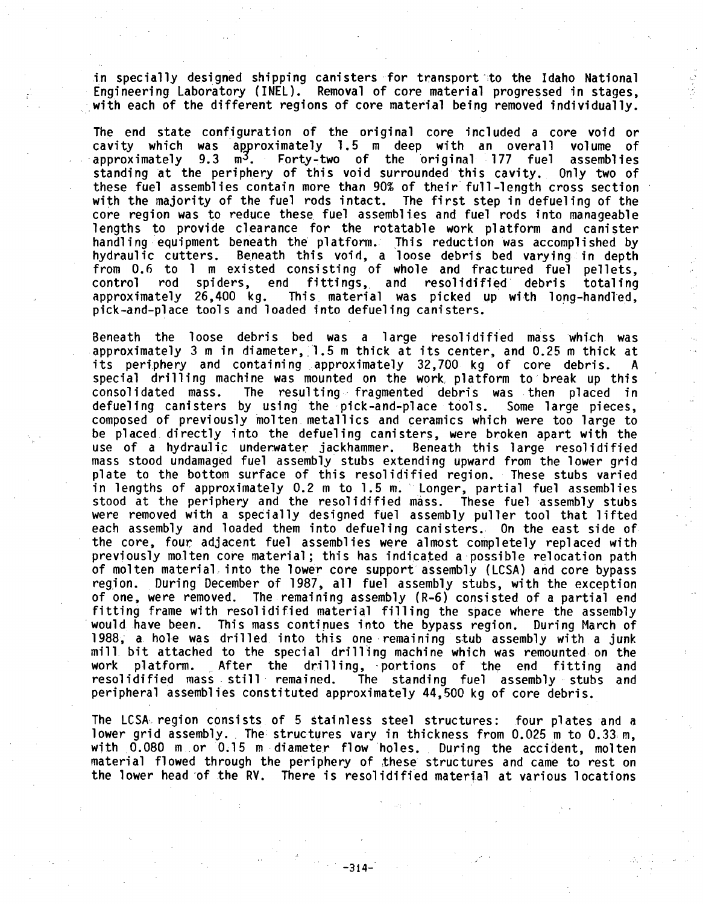in specially designed shipping canisters for transport to the Idaho National Engineering Laboratory (INEL). Removal of core material progressed in stages, with each of the different regions of core material being removed individually.

The end state configuration of the original core included a core void or<br>cavity which was approximately 1.5 m deep with an overall volume of cavity which was approximately 1.5 m deep with an overall volume of approximately 9.3 m<sup>3</sup>. Forty-two of the original 177 fuel assemblies standing at the periphery of this void surrounded this cavity. Only two of these fuel assemblies contain more than 90% of their full-length cross section with the majority of the fuel rods intact. The first step in defueling of the core region was to reduce these fuel assemblies and fuel rods into manageable lengths to provide clearance for the rotatable work platform and canister handling equipment beneath the platform. This reduction was accomplished by<br>hydraulic cutters. Beneath this void, a loose debris bed varying in depth Beneath this void, a loose debris bed varying in depth from 0.6 to 1 m existed consisting of whole and fractured fuel pellets, control rod spiders, end fittings, and resolidified debris totaling This material was picked up with long-handled, pick-and-place tools and loaded into defueling canisters.

Beneath the loose debris bed was a large resolidified mass which was approximately 3 m in diameter, 1.5 m thick at its center, and 0.25 m thick at its periphery and containing approximately 32,700 kg of core debris. A special drilling machine was mounted on the work platform to break up this consolidated mass. The resulting fragmented debris was then placed in The resulting fragmented debris was then placed in defueling canisters by using the pick-and-place tools. Some large pieces, composed of previously molten metallics and ceramics which were too large to be placed directly into the defueling canisters, were broken apart with the use of a hydraulic underwater jackhammer. Beneath this large resolidified mass stood undamaged fuel assembly stubs extending upward from the lower grid plate to the bottom surface of this resolidified region. These stubs varied in lengths of approximately 0.2 m to 1.5 m. Longer, partial fuel assemblies stood at the periphery and the resolidified mass. These fuel assembly stubs were removed with a specially designed fuel assembly puller tool that lifted each assembly and loaded them into defueling canisters. On the east side of the core, four adjacent fuel assemblies were almost completely replaced with previously molten core material; this has indicated a-possible relocation path of molten material into the lower core support assembly (LCSA) and core bypass region. During December of 1987, all fuel assembly stubs, with the exception of one, were removed. The remaining assembly (R-6) consisted of a partial end fitting frame with resolidified material filling the space where the assembly would have been. This mass continues into the bypass region. During March of 1988, a hole was drilled into this one remaining stub assembly with a junk mill bit attached to the special drilling machine which was remounted on the work platform. After the drilling, portions of the end fitting and<br>resolidified mass still remained. The standing fuel assembly stubs and The standing fuel assembly stubs and peripheral assemblies constituted approximately 44,500 kg of core debris.

The LCSA, region consists of 5 stainless steel structures: four plates and a lower grid assembly. The structures vary in thickness from 0.025 m to 0.33m, with 0.080 m or 0.15 m diameter flow holes. During the accident, molten material flowed through the periphery of these structures and came to rest on the lower head-of the RV. There is resolidified material at various locations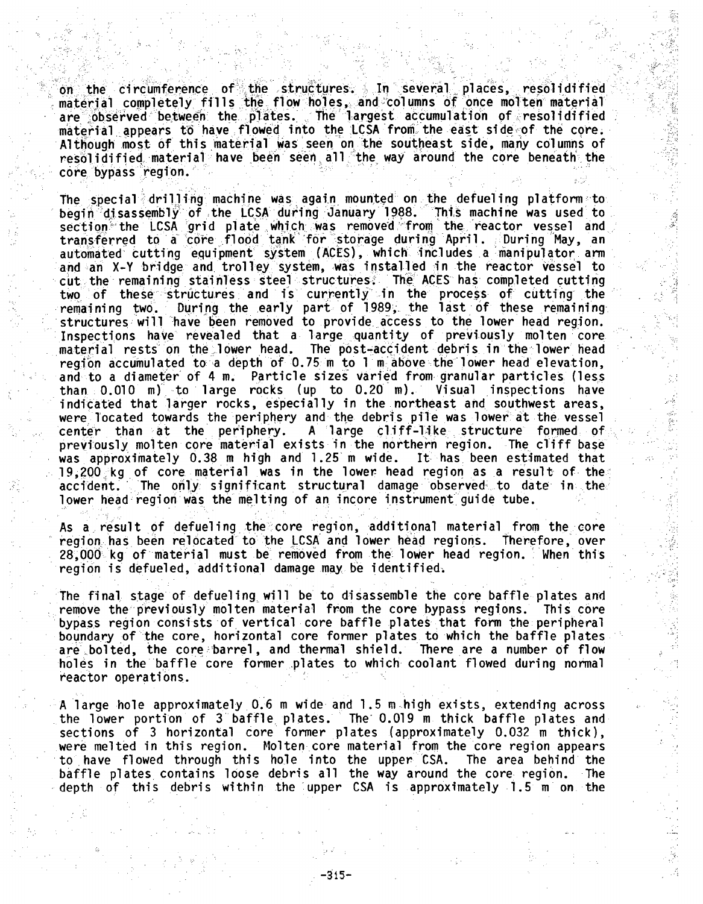on the circumference of the structures. In several places, resolidified material completely fills the flow holes, and columns of once molten material are observed between the plates. The largest accumulation of resolidified material appears to have flowed into the LCSA from the east side of the core. Although most of this material was seen on the southeast side, many columns of resolidified material have been seen all the way around the core beneath the core bypass region.

The special drilling machine was again mounted on the defueling platform to begin' 'disassembly of the LCSA during January 1988. This machine was used to section the LCSA grid plate which was removed from the reactor vessel and transferred to a core flood tank for storage during April. During May, an automated cutting equipment system (ACES), which' includes **.a** manipulator arm and an X-Y bridge and trolley system, was installed in the reactor vessel to cut the remaining stainless steel structures. The ACES has completed cutting two of these structures and is currently in the process of cutting the<br>remaining two. During the early part of 1989, the last of these remaining During the early part of 1989, the last of these remaining structures will have been removed to provide access to the lower head region. Inspections have revealed that a large ,quantity of previously molten core material rests on the lower head. The post-accident debris in the lower head region accumulated to a depth of 0.75 m to 1 m above the lower head elevation, and to a diameter of 4 m. Particle sizes varied from granular particles (less than 0.010 m) to large rocks (up to 0.20 m). Visual inspections have  $than 0.010 m$  to large rocks (up to  $0.20 m$ ). indicated that larger rocks, especially in the northeast and southwest areas, were located towards the periphery and the debris pile was lower at the vessel<br>center than at the periphery. A large cliff-like structure formed of A large cliff-like structure formed of previously molten core material exists in the northern region. The cliff base was approximately 0.38 m high and 1.25 m wide. It has been estimated that 19,200 kg of core material was in the lower head region as a result of the accident. The only significant structural damage observed to date in the lower head region was the melting of an incore instrument guide tube.

As a, result of defueling the core region, additional material from the core region., has been relocated to the LCSA and lower head regions. Therefore, over 28,000 kg of material must be removed from the lower head region. When this region is defueled, additional damage may be identified.

The final stage of defueling will be to disassemble the core baffle plates and remove the previously molten material from the core bypass regions. This core bypass region consists of vertical core baffle plates that form the peripheral boundary of the core, horizontal core former plates to which the baffle plates are bolted, the core barrel, and thermal shield. There are a number of flow holes in the baffle core former plates to which coolant flowed during normal reactor operations.

A large hole approximately 0.6 m wide and 1.5 m high exists, extending across the lower portion of 3 baffle plates. The' 0.019 m thick baffle plates and sections of 3 horizontal core former plates (approximately 0.032 m thick), were melted in this region. Molten core material from the core region appears to have flowed through this hole into the upper CSA. The area behind the baffle plates contains loose debris all the way around the core region. The depth of this debris within the upper CSA is approximately 1.5 m on the

-315-